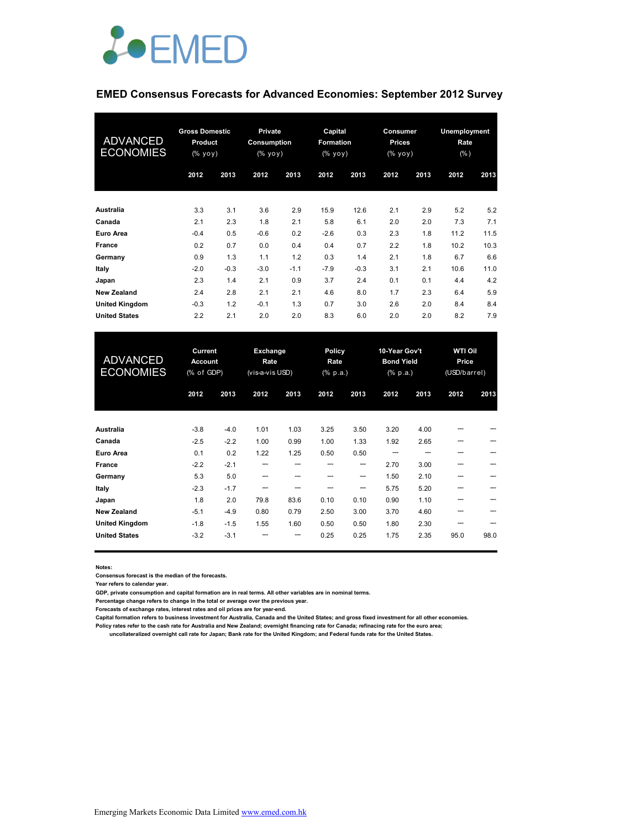

### **EMED Consensus Forecasts for Advanced Economies: September 2012 Survey**

| <b>ADVANCED</b><br><b>ECONOMIES</b> | <b>Gross Domestic</b><br><b>Product</b><br>(% yoy) |        | <b>Private</b><br>Consumption<br>(% |        | Capital<br><b>Formation</b><br>$(% \mathbf{y}\right)$ (% $\mathbf{y}\circ\overline{\mathbf{y}}$ ) |        | Consumer<br>Prices<br>(% yoy) |      | Unemployment<br>Rate<br>(% ) |      |
|-------------------------------------|----------------------------------------------------|--------|-------------------------------------|--------|---------------------------------------------------------------------------------------------------|--------|-------------------------------|------|------------------------------|------|
|                                     | 2012                                               | 2013   | 2012                                | 2013   | 2012                                                                                              | 2013   | 2012                          | 2013 | 2012                         | 2013 |
| Australia                           | 3.3                                                | 3.1    | 3.6                                 | 2.9    | 15.9                                                                                              | 12.6   | 2.1                           | 2.9  | 5.2                          | 5.2  |
| Canada                              | 2.1                                                | 2.3    | 1.8                                 | 2.1    | 5.8                                                                                               | 6.1    | 2.0                           | 2.0  | 7.3                          | 7.1  |
| Euro Area                           | $-0.4$                                             | 0.5    | $-0.6$                              | 0.2    | $-2.6$                                                                                            | 0.3    | 2.3                           | 1.8  | 11.2                         | 11.5 |
| France                              | 0.2                                                | 0.7    | 0.0                                 | 0.4    | 0.4                                                                                               | 0.7    | 2.2                           | 1.8  | 10.2                         | 10.3 |
| Germany                             | 0.9                                                | 1.3    | 1.1                                 | 1.2    | 0.3                                                                                               | 1.4    | 2.1                           | 1.8  | 6.7                          | 6.6  |
| Italy                               | $-2.0$                                             | $-0.3$ | $-3.0$                              | $-1.1$ | $-7.9$                                                                                            | $-0.3$ | 3.1                           | 2.1  | 10.6                         | 11.0 |
| Japan                               | 2.3                                                | 1.4    | 2.1                                 | 0.9    | 3.7                                                                                               | 2.4    | 0.1                           | 0.1  | 4.4                          | 4.2  |
| <b>New Zealand</b>                  | 2.4                                                | 2.8    | 2.1                                 | 2.1    | 4.6                                                                                               | 8.0    | 1.7                           | 2.3  | 6.4                          | 5.9  |
| <b>United Kingdom</b>               | $-0.3$                                             | 1.2    | $-0.1$                              | 1.3    | 0.7                                                                                               | 3.0    | 2.6                           | 2.0  | 8.4                          | 8.4  |
| <b>United States</b>                | 2.2                                                | 2.1    | 2.0                                 | 2.0    | 8.3                                                                                               | 6.0    | 2.0                           | 2.0  | 8.2                          | 7.9  |

| <b>ADVANCED</b><br><b>ECONOMIES</b> | Current<br><b>Account</b><br>(% of GDP) |        | Exchange<br>Rate<br>(vis-a-vis USD) |      | Policy<br>Rate<br>(% p.a.) |      | 10-Year Gov't<br><b>Bond Yield</b><br>$(% \mathbb{R}^2)$ (% p.a.) |      | <b>WTI Oil</b><br>Price<br>(USD/barrel) |      |
|-------------------------------------|-----------------------------------------|--------|-------------------------------------|------|----------------------------|------|-------------------------------------------------------------------|------|-----------------------------------------|------|
|                                     | 2012                                    | 2013   | 2012                                | 2013 | 2012                       | 2013 | 2012                                                              | 2013 | 2012                                    | 2013 |
| Australia                           | $-3.8$                                  | $-4.0$ | 1.01                                | 1.03 | 3.25                       | 3.50 | 3.20                                                              | 4.00 |                                         |      |
| Canada                              | $-2.5$                                  | $-2.2$ | 1.00                                | 0.99 | 1.00                       | 1.33 | 1.92                                                              | 2.65 | ---                                     |      |
| Euro Area                           | 0.1                                     | 0.2    | 1.22                                | 1.25 | 0.50                       | 0.50 |                                                                   |      |                                         |      |
| France                              | $-2.2$                                  | $-2.1$ | ---                                 |      |                            | --   | 2.70                                                              | 3.00 |                                         |      |
| Germany                             | 5.3                                     | 5.0    | ---                                 |      | ---                        | --   | 1.50                                                              | 2.10 |                                         |      |
| Italy                               | $-2.3$                                  | $-1.7$ |                                     |      |                            | ---  | 5.75                                                              | 5.20 |                                         |      |
| Japan                               | 1.8                                     | 2.0    | 79.8                                | 83.6 | 0.10                       | 0.10 | 0.90                                                              | 1.10 |                                         |      |
| <b>New Zealand</b>                  | $-5.1$                                  | $-4.9$ | 0.80                                | 0.79 | 2.50                       | 3.00 | 3.70                                                              | 4.60 |                                         |      |
| <b>United Kingdom</b>               | $-1.8$                                  | $-1.5$ | 1.55                                | 1.60 | 0.50                       | 0.50 | 1.80                                                              | 2.30 | ---                                     |      |
| <b>United States</b>                | $-3.2$                                  | $-3.1$ |                                     | ---  | 0.25                       | 0.25 | 1.75                                                              | 2.35 | 95.0                                    | 98.0 |

**Notes:** 

**Consensus forecast is the median of the forecasts.**

**Year refers to calendar year.**

**GDP, private consumption and capital formation are in real terms. All other variables are in nominal terms.**

**Percentage change refers to change in the total or average over the previous year.**

**Forecasts of exchange rates, interest rates and oil prices are for year-end.**

**Capital formation refers to business investment for Australia, Canada and the United States; and gross fixed investment for all other economies.**

**Policy rates refer to the cash rate for Australia and New Zealand; overnight financing rate for Canada; refinacing rate for the euro area;** 

 **uncollateralized overnight call rate for Japan; Bank rate for the United Kingdom; and Federal funds rate for the United States.**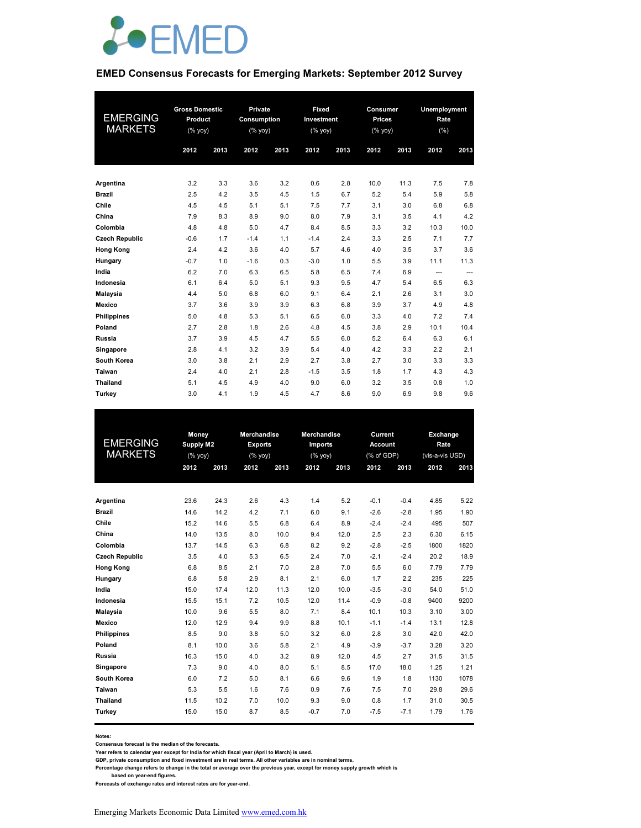

#### **EMED Consensus Forecasts for Emerging Markets: September 2012 Survey**

| <b>EMERGING</b><br><b>MARKETS</b> | <b>Gross Domestic</b><br>Product<br>(% yoy) |      | Private<br>Consumption<br>(% yoy) |      | Fixed<br>Investment<br>(% yoy) |      | Consumer<br><b>Prices</b><br>(% yoy) |      | Unemployment<br>Rate<br>(%) |          |
|-----------------------------------|---------------------------------------------|------|-----------------------------------|------|--------------------------------|------|--------------------------------------|------|-----------------------------|----------|
|                                   | 2012                                        | 2013 | 2012                              | 2013 | 2012                           | 2013 | 2012                                 | 2013 | 2012                        | 2013     |
|                                   |                                             |      |                                   |      |                                |      |                                      |      |                             |          |
| Argentina                         | 3.2                                         | 3.3  | 3.6                               | 3.2  | 0.6                            | 2.8  | 10.0                                 | 11.3 | 7.5                         | 7.8      |
| <b>Brazil</b>                     | 2.5                                         | 4.2  | 3.5                               | 4.5  | 1.5                            | 6.7  | 5.2                                  | 5.4  | 5.9                         | 5.8      |
| Chile                             | 4.5                                         | 4.5  | 5.1                               | 5.1  | 7.5                            | 7.7  | 3.1                                  | 3.0  | 6.8                         | 6.8      |
| China                             | 7.9                                         | 8.3  | 8.9                               | 9.0  | 8.0                            | 7.9  | 3.1                                  | 3.5  | 4.1                         | 4.2      |
| Colombia                          | 4.8                                         | 4.8  | 5.0                               | 4.7  | 8.4                            | 8.5  | 3.3                                  | 3.2  | 10.3                        | 10.0     |
| <b>Czech Republic</b>             | $-0.6$                                      | 1.7  | $-1.4$                            | 1.1  | $-1.4$                         | 2.4  | 3.3                                  | 2.5  | 7.1                         | 7.7      |
| <b>Hong Kong</b>                  | 2.4                                         | 4.2  | 3.6                               | 4.0  | 5.7                            | 4.6  | 4.0                                  | 3.5  | 3.7                         | 3.6      |
| Hungary                           | $-0.7$                                      | 1.0  | $-1.6$                            | 0.3  | $-3.0$                         | 1.0  | 5.5                                  | 3.9  | 11.1                        | 11.3     |
| India                             | 6.2                                         | 7.0  | 6.3                               | 6.5  | 5.8                            | 6.5  | 7.4                                  | 6.9  | ---                         | $\cdots$ |
| Indonesia                         | 6.1                                         | 6.4  | 5.0                               | 5.1  | 9.3                            | 9.5  | 4.7                                  | 5.4  | 6.5                         | 6.3      |
| <b>Malaysia</b>                   | 4.4                                         | 5.0  | 6.8                               | 6.0  | 9.1                            | 6.4  | 2.1                                  | 2.6  | 3.1                         | 3.0      |
| Mexico                            | 3.7                                         | 3.6  | 3.9                               | 3.9  | 6.3                            | 6.8  | 3.9                                  | 3.7  | 4.9                         | 4.8      |
| <b>Philippines</b>                | 5.0                                         | 4.8  | 5.3                               | 5.1  | 6.5                            | 6.0  | 3.3                                  | 4.0  | 7.2                         | 7.4      |
| Poland                            | 2.7                                         | 2.8  | 1.8                               | 2.6  | 4.8                            | 4.5  | 3.8                                  | 2.9  | 10.1                        | 10.4     |
| Russia                            | 3.7                                         | 3.9  | 4.5                               | 4.7  | 5.5                            | 6.0  | 5.2                                  | 6.4  | 6.3                         | 6.1      |
| Singapore                         | 2.8                                         | 4.1  | 3.2                               | 3.9  | 5.4                            | 4.0  | 4.2                                  | 3.3  | 2.2                         | 2.1      |
| South Korea                       | 3.0                                         | 3.8  | 2.1                               | 2.9  | 2.7                            | 3.8  | 2.7                                  | 3.0  | 3.3                         | 3.3      |
| Taiwan                            | 2.4                                         | 4.0  | 2.1                               | 2.8  | $-1.5$                         | 3.5  | 1.8                                  | 1.7  | 4.3                         | 4.3      |
| <b>Thailand</b>                   | 5.1                                         | 4.5  | 4.9                               | 4.0  | 9.0                            | 6.0  | 3.2                                  | 3.5  | 0.8                         | 1.0      |
| Turkev                            | 3.0                                         | 4.1  | 1.9                               | 4.5  | 4.7                            | 8.6  | 9.0                                  | 6.9  | 9.8                         | 9.6      |

| EMERGING<br><b>MARKETS</b> | Money<br><b>Supply M2</b><br>(% yoy)<br>2012 | 2013 | <b>Merchandise</b><br><b>Exports</b><br>(% yoy)<br>2012 | 2013 | <b>Merchandise</b><br><b>Imports</b><br>(% yoy)<br>2012 | 2013 | Current<br><b>Account</b><br>(% of GDP)<br>2012 | 2013   | Exchange<br>Rate<br>(vis-a-vis USD)<br>2012 | 2013 |
|----------------------------|----------------------------------------------|------|---------------------------------------------------------|------|---------------------------------------------------------|------|-------------------------------------------------|--------|---------------------------------------------|------|
| Argentina                  | 23.6                                         | 24.3 | 2.6                                                     | 4.3  | 1.4                                                     | 5.2  | $-0.1$                                          | $-0.4$ | 4.85                                        | 5.22 |
| <b>Brazil</b>              | 14.6                                         | 14.2 | 4.2                                                     | 7.1  | 6.0                                                     | 9.1  | $-2.6$                                          | $-2.8$ | 1.95                                        | 1.90 |
| Chile                      | 15.2                                         | 14.6 | 5.5                                                     | 6.8  | 6.4                                                     | 8.9  | $-2.4$                                          | $-2.4$ | 495                                         | 507  |
| China                      | 14.0                                         | 13.5 | 8.0                                                     | 10.0 | 9.4                                                     | 12.0 | 2.5                                             | 2.3    | 6.30                                        | 6.15 |
| Colombia                   | 13.7                                         | 14.5 | 6.3                                                     | 6.8  | 8.2                                                     | 9.2  | $-2.8$                                          | $-2.5$ | 1800                                        | 1820 |
| <b>Czech Republic</b>      | 3.5                                          | 4.0  | 5.3                                                     | 6.5  | 2.4                                                     | 7.0  | $-2.1$                                          | $-2.4$ | 20.2                                        | 18.9 |
| <b>Hong Kong</b>           | 6.8                                          | 8.5  | 2.1                                                     | 7.0  | 2.8                                                     | 7.0  | 5.5                                             | 6.0    | 7.79                                        | 7.79 |
| Hungary                    | 6.8                                          | 5.8  | 2.9                                                     | 8.1  | 2.1                                                     | 6.0  | 1.7                                             | 2.2    | 235                                         | 225  |
| India                      | 15.0                                         | 17.4 | 12.0                                                    | 11.3 | 12.0                                                    | 10.0 | $-3.5$                                          | $-3.0$ | 54.0                                        | 51.0 |
| Indonesia                  | 15.5                                         | 15.1 | 7.2                                                     | 10.5 | 12.0                                                    | 11.4 | $-0.9$                                          | $-0.8$ | 9400                                        | 9200 |
| Malaysia                   | 10.0                                         | 9.6  | 5.5                                                     | 8.0  | 7.1                                                     | 8.4  | 10.1                                            | 10.3   | 3.10                                        | 3.00 |
| Mexico                     | 12.0                                         | 12.9 | 9.4                                                     | 9.9  | 8.8                                                     | 10.1 | $-1.1$                                          | $-1.4$ | 13.1                                        | 12.8 |
| <b>Philippines</b>         | 8.5                                          | 9.0  | 3.8                                                     | 5.0  | 3.2                                                     | 6.0  | 2.8                                             | 3.0    | 42.0                                        | 42.0 |
| Poland                     | 8.1                                          | 10.0 | 3.6                                                     | 5.8  | 2.1                                                     | 4.9  | $-3.9$                                          | $-3.7$ | 3.28                                        | 3.20 |
| Russia                     | 16.3                                         | 15.0 | 4.0                                                     | 3.2  | 8.9                                                     | 12.0 | 4.5                                             | 2.7    | 31.5                                        | 31.5 |
| Singapore                  | 7.3                                          | 9.0  | 4.0                                                     | 8.0  | 5.1                                                     | 8.5  | 17.0                                            | 18.0   | 1.25                                        | 1.21 |
| South Korea                | 6.0                                          | 7.2  | 5.0                                                     | 8.1  | 6.6                                                     | 9.6  | 1.9                                             | 1.8    | 1130                                        | 1078 |
| Taiwan                     | 5.3                                          | 5.5  | 1.6                                                     | 7.6  | 0.9                                                     | 7.6  | 7.5                                             | 7.0    | 29.8                                        | 29.6 |
| <b>Thailand</b>            | 11.5                                         | 10.2 | 7.0                                                     | 10.0 | 9.3                                                     | 9.0  | 0.8                                             | 1.7    | 31.0                                        | 30.5 |
| Turkey                     | 15.0                                         | 15.0 | 8.7                                                     | 8.5  | $-0.7$                                                  | 7.0  | $-7.5$                                          | $-7.1$ | 1.79                                        | 1.76 |

**Notes:** 

**Consensus forecast is the median of the forecasts.**

**Year refers to calendar year except for India for which fiscal year (April to March) is used.**

**GDP, private consumption and fixed investment are in real terms. All other variables are in nominal terms.**

**Percentage change refers to change in the total or average over the previous year, except for money supply growth which is** 

 **based on year-end figures. Forecasts of exchange rates and interest rates are for year-end.**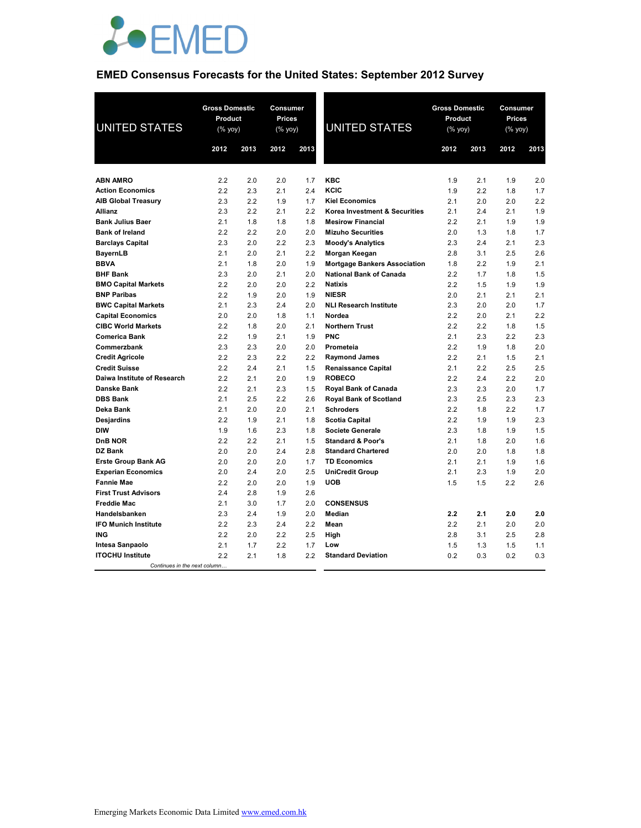

## **EMED Consensus Forecasts for the United States: September 2012 Survey**

| <b>UNITED STATES</b>         | <b>Gross Domestic</b><br>Product<br>$(\%$ yoy) |      | Consumer<br><b>Prices</b><br>$(\%$ yoy) |      | <b>UNITED STATES</b>                | <b>Gross Domestic</b><br>Product<br>$(\%$ yoy) |      | Consumer<br><b>Prices</b><br>$(\%$ yoy) |      |
|------------------------------|------------------------------------------------|------|-----------------------------------------|------|-------------------------------------|------------------------------------------------|------|-----------------------------------------|------|
|                              | 2012                                           | 2013 | 2012                                    | 2013 |                                     | 2012                                           | 2013 | 2012                                    | 2013 |
|                              |                                                |      |                                         |      |                                     |                                                |      |                                         |      |
| <b>ABN AMRO</b>              | 2.2                                            | 2.0  | 2.0                                     | 1.7  | KBC                                 | 1.9                                            | 2.1  | 1.9                                     | 2.0  |
| <b>Action Economics</b>      | 2.2                                            | 2.3  | 2.1                                     | 2.4  | KCIC                                | 1.9                                            | 2.2  | 1.8                                     | 1.7  |
| <b>AIB Global Treasury</b>   | 2.3                                            | 2.2  | 1.9                                     | 1.7  | <b>Kiel Economics</b>               | 2.1                                            | 2.0  | 2.0                                     | 2.2  |
| <b>Allianz</b>               | 2.3                                            | 2.2  | 2.1                                     | 2.2  | Korea Investment & Securities       | 2.1                                            | 2.4  | 2.1                                     | 1.9  |
| <b>Bank Julius Baer</b>      | 2.1                                            | 1.8  | 1.8                                     | 1.8  | <b>Mesirow Financial</b>            | 2.2                                            | 2.1  | 1.9                                     | 1.9  |
| <b>Bank of Ireland</b>       | 2.2                                            | 2.2  | 2.0                                     | 2.0  | <b>Mizuho Securities</b>            | 2.0                                            | 1.3  | 1.8                                     | 1.7  |
| <b>Barclays Capital</b>      | 2.3                                            | 2.0  | 2.2                                     | 2.3  | <b>Moody's Analytics</b>            | 2.3                                            | 2.4  | 2.1                                     | 2.3  |
| <b>BayernLB</b>              | 2.1                                            | 2.0  | 2.1                                     | 2.2  | Morgan Keegan                       | 2.8                                            | 3.1  | 2.5                                     | 2.6  |
| <b>BBVA</b>                  | 2.1                                            | 1.8  | 2.0                                     | 1.9  | <b>Mortgage Bankers Association</b> | 1.8                                            | 2.2  | 1.9                                     | 2.1  |
| <b>BHF Bank</b>              | 2.3                                            | 2.0  | 2.1                                     | 2.0  | <b>National Bank of Canada</b>      | 2.2                                            | 1.7  | 1.8                                     | 1.5  |
| <b>BMO Capital Markets</b>   | 2.2                                            | 2.0  | 2.0                                     | 2.2  | <b>Natixis</b>                      | 2.2                                            | 1.5  | 1.9                                     | 1.9  |
| <b>BNP Paribas</b>           | 2.2                                            | 1.9  | 2.0                                     | 1.9  | <b>NIESR</b>                        | 2.0                                            | 2.1  | 2.1                                     | 2.1  |
| <b>BWC Capital Markets</b>   | 2.1                                            | 2.3  | 2.4                                     | 2.0  | <b>NLI Research Institute</b>       | 2.3                                            | 2.0  | 2.0                                     | 1.7  |
| <b>Capital Economics</b>     | 2.0                                            | 2.0  | 1.8                                     | 1.1  | Nordea                              | 2.2                                            | 2.0  | 2.1                                     | 2.2  |
| <b>CIBC World Markets</b>    | 2.2                                            | 1.8  | 2.0                                     | 2.1  | <b>Northern Trust</b>               | 2.2                                            | 2.2  | 1.8                                     | 1.5  |
| <b>Comerica Bank</b>         | 2.2                                            | 1.9  | 2.1                                     | 1.9  | PNC                                 | 2.1                                            | 2.3  | 2.2                                     | 2.3  |
| Commerzbank                  | 2.3                                            | 2.3  | 2.0                                     | 2.0  | Prometeia                           | 2.2                                            | 1.9  | 1.8                                     | 2.0  |
| <b>Credit Agricole</b>       | 2.2                                            | 2.3  | 2.2                                     | 2.2  | <b>Raymond James</b>                | 2.2                                            | 2.1  | 1.5                                     | 2.1  |
| <b>Credit Suisse</b>         | 2.2                                            | 2.4  | 2.1                                     | 1.5  | <b>Renaissance Capital</b>          | 2.1                                            | 2.2  | 2.5                                     | 2.5  |
| Daiwa Institute of Research  | 2.2                                            | 2.1  | 2.0                                     | 1.9  | <b>ROBECO</b>                       | 2.2                                            | 2.4  | 2.2                                     | 2.0  |
| <b>Danske Bank</b>           | 2.2                                            | 2.1  | 2.3                                     | 1.5  | Royal Bank of Canada                | 2.3                                            | 2.3  | 2.0                                     | 1.7  |
| <b>DBS Bank</b>              | 2.1                                            | 2.5  | 2.2                                     | 2.6  | <b>Royal Bank of Scotland</b>       | 2.3                                            | 2.5  | 2.3                                     | 2.3  |
| Deka Bank                    | 2.1                                            | 2.0  | 2.0                                     | 2.1  | <b>Schroders</b>                    | 2.2                                            | 1.8  | 2.2                                     | 1.7  |
| Desjardins                   | 2.2                                            | 1.9  | 2.1                                     | 1.8  | <b>Scotia Capital</b>               | 2.2                                            | 1.9  | 1.9                                     | 2.3  |
| <b>DIW</b>                   | 1.9                                            | 1.6  | 2.3                                     | 1.8  | Societe Generale                    | 2.3                                            | 1.8  | 1.9                                     | 1.5  |
| <b>DnB NOR</b>               | 2.2                                            | 2.2  | 2.1                                     | 1.5  | <b>Standard &amp; Poor's</b>        | 2.1                                            | 1.8  | 2.0                                     | 1.6  |
| DZ Bank                      | 2.0                                            | 2.0  | 2.4                                     | 2.8  | <b>Standard Chartered</b>           | 2.0                                            | 2.0  | 1.8                                     | 1.8  |
| <b>Erste Group Bank AG</b>   | 2.0                                            | 2.0  | 2.0                                     | 1.7  | <b>TD Economics</b>                 | 2.1                                            | 2.1  | 1.9                                     | 1.6  |
| <b>Experian Economics</b>    | 2.0                                            | 2.4  | 2.0                                     | 2.5  | <b>UniCredit Group</b>              | 2.1                                            | 2.3  | 1.9                                     | 2.0  |
| <b>Fannie Mae</b>            | 2.2                                            | 2.0  | 2.0                                     | 1.9  | <b>UOB</b>                          | 1.5                                            | 1.5  | 2.2                                     | 2.6  |
| <b>First Trust Advisors</b>  | 2.4                                            | 2.8  | 1.9                                     | 2.6  |                                     |                                                |      |                                         |      |
| <b>Freddie Mac</b>           | 2.1                                            | 3.0  | 1.7                                     | 2.0  | <b>CONSENSUS</b>                    |                                                |      |                                         |      |
| Handelsbanken                | 2.3                                            | 2.4  | 1.9                                     | 2.0  | Median                              | 2.2                                            | 2.1  | 2.0                                     | 2.0  |
| <b>IFO Munich Institute</b>  | 2.2                                            | 2.3  | 2.4                                     | 2.2  | Mean                                | 2.2                                            | 2.1  | 2.0                                     | 2.0  |
| <b>ING</b>                   | 2.2                                            | 2.0  | 2.2                                     | 2.5  | High                                | 2.8                                            | 3.1  | 2.5                                     | 2.8  |
| Intesa Sanpaolo              | 2.1                                            | 1.7  | 2.2                                     | 1.7  | Low                                 | 1.5                                            | 1.3  | 1.5                                     | 1.1  |
| <b>ITOCHU Institute</b>      | 2.2                                            | 2.1  | 1.8                                     | 2.2  | <b>Standard Deviation</b>           | 0.2                                            | 0.3  | 0.2                                     | 0.3  |
| Continues in the next column |                                                |      |                                         |      |                                     |                                                |      |                                         |      |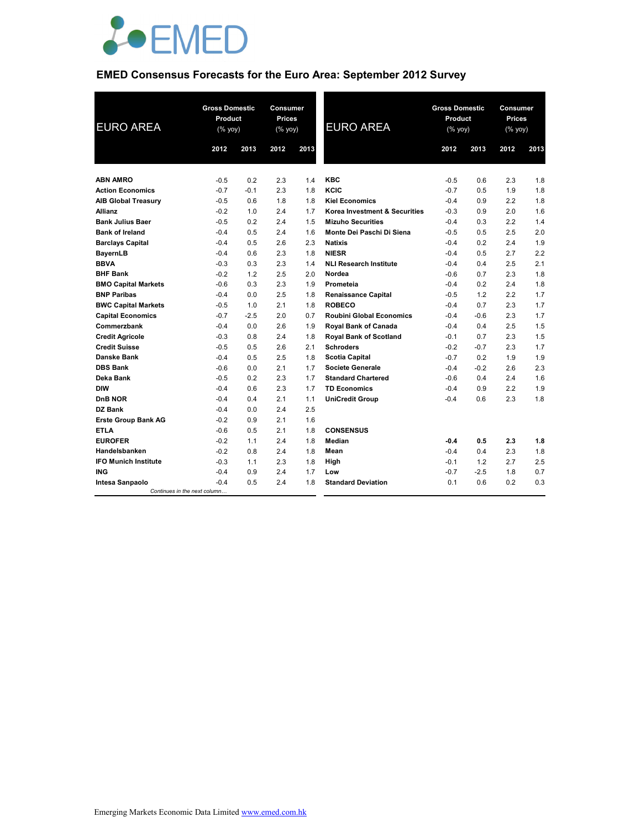

## **EMED Consensus Forecasts for the Euro Area: September 2012 Survey**

| <b>EURO AREA</b>            | <b>Gross Domestic</b><br>Product<br>$(% \mathsf{Y}^{\prime }\mathsf{Y}^{\prime }\mathsf{Y}^{\prime })$ |        | <b>Consumer</b><br><b>Prices</b><br>(% yoy) |      | <b>EURO AREA</b>                | <b>Gross Domestic</b><br>Product<br>(% yoy) |        | Consumer<br><b>Prices</b><br>$(% \mathsf{Y}^{\prime }\mathsf{Y}^{\prime }\mathsf{Y}^{\prime })$ |      |
|-----------------------------|--------------------------------------------------------------------------------------------------------|--------|---------------------------------------------|------|---------------------------------|---------------------------------------------|--------|-------------------------------------------------------------------------------------------------|------|
|                             | 2012                                                                                                   | 2013   | 2012                                        | 2013 |                                 | 2012                                        | 2013   | 2012                                                                                            | 2013 |
|                             |                                                                                                        |        |                                             |      |                                 |                                             |        |                                                                                                 |      |
| <b>ABN AMRO</b>             | $-0.5$                                                                                                 | 0.2    | 2.3                                         | 1.4  | <b>KBC</b>                      | $-0.5$                                      | 0.6    | 2.3                                                                                             | 1.8  |
| <b>Action Economics</b>     | $-0.7$                                                                                                 | $-0.1$ | 2.3                                         | 1.8  | KCIC                            | $-0.7$                                      | 0.5    | 1.9                                                                                             | 1.8  |
| <b>AIB Global Treasury</b>  | $-0.5$                                                                                                 | 0.6    | 1.8                                         | 1.8  | <b>Kiel Economics</b>           | $-0.4$                                      | 0.9    | 2.2                                                                                             | 1.8  |
| <b>Allianz</b>              | $-0.2$                                                                                                 | 1.0    | 2.4                                         | 1.7  | Korea Investment & Securities   | $-0.3$                                      | 0.9    | 2.0                                                                                             | 1.6  |
| <b>Bank Julius Baer</b>     | $-0.5$                                                                                                 | 0.2    | 2.4                                         | 1.5  | <b>Mizuho Securities</b>        | $-0.4$                                      | 0.3    | 2.2                                                                                             | 1.4  |
| <b>Bank of Ireland</b>      | $-0.4$                                                                                                 | 0.5    | 2.4                                         | 1.6  | Monte Dei Paschi Di Siena       | $-0.5$                                      | 0.5    | 2.5                                                                                             | 2.0  |
| <b>Barclays Capital</b>     | $-0.4$                                                                                                 | 0.5    | 2.6                                         | 2.3  | <b>Natixis</b>                  | $-0.4$                                      | 0.2    | 2.4                                                                                             | 1.9  |
| BayernLB                    | $-0.4$                                                                                                 | 0.6    | 2.3                                         | 1.8  | <b>NIESR</b>                    | $-0.4$                                      | 0.5    | 2.7                                                                                             | 2.2  |
| <b>BBVA</b>                 | $-0.3$                                                                                                 | 0.3    | 2.3                                         | 1.4  | <b>NLI Research Institute</b>   | $-0.4$                                      | 0.4    | 2.5                                                                                             | 2.1  |
| <b>BHF Bank</b>             | $-0.2$                                                                                                 | 1.2    | 2.5                                         | 2.0  | Nordea                          | $-0.6$                                      | 0.7    | 2.3                                                                                             | 1.8  |
| <b>BMO Capital Markets</b>  | $-0.6$                                                                                                 | 0.3    | 2.3                                         | 1.9  | Prometeia                       | $-0.4$                                      | 0.2    | 2.4                                                                                             | 1.8  |
| <b>BNP Paribas</b>          | $-0.4$                                                                                                 | 0.0    | 2.5                                         | 1.8  | <b>Renaissance Capital</b>      | $-0.5$                                      | 1.2    | 2.2                                                                                             | 1.7  |
| <b>BWC Capital Markets</b>  | $-0.5$                                                                                                 | 1.0    | 2.1                                         | 1.8  | <b>ROBECO</b>                   | $-0.4$                                      | 0.7    | 2.3                                                                                             | 1.7  |
| <b>Capital Economics</b>    | $-0.7$                                                                                                 | $-2.5$ | 2.0                                         | 0.7  | <b>Roubini Global Economics</b> | $-0.4$                                      | $-0.6$ | 2.3                                                                                             | 1.7  |
| Commerzbank                 | $-0.4$                                                                                                 | 0.0    | 2.6                                         | 1.9  | Royal Bank of Canada            | $-0.4$                                      | 0.4    | 2.5                                                                                             | 1.5  |
| <b>Credit Agricole</b>      | $-0.3$                                                                                                 | 0.8    | 2.4                                         | 1.8  | <b>Royal Bank of Scotland</b>   | $-0.1$                                      | 0.7    | 2.3                                                                                             | 1.5  |
| <b>Credit Suisse</b>        | $-0.5$                                                                                                 | 0.5    | 2.6                                         | 2.1  | <b>Schroders</b>                | $-0.2$                                      | $-0.7$ | 2.3                                                                                             | 1.7  |
| <b>Danske Bank</b>          | $-0.4$                                                                                                 | 0.5    | 2.5                                         | 1.8  | <b>Scotia Capital</b>           | $-0.7$                                      | 0.2    | 1.9                                                                                             | 1.9  |
| <b>DBS Bank</b>             | $-0.6$                                                                                                 | 0.0    | 2.1                                         | 1.7  | <b>Societe Generale</b>         | $-0.4$                                      | $-0.2$ | 2.6                                                                                             | 2.3  |
| Deka Bank                   | $-0.5$                                                                                                 | 0.2    | 2.3                                         | 1.7  | <b>Standard Chartered</b>       | $-0.6$                                      | 0.4    | 2.4                                                                                             | 1.6  |
| <b>DIW</b>                  | $-0.4$                                                                                                 | 0.6    | 2.3                                         | 1.7  | <b>TD Economics</b>             | $-0.4$                                      | 0.9    | 2.2                                                                                             | 1.9  |
| DnB NOR                     | $-0.4$                                                                                                 | 0.4    | 2.1                                         | 1.1  | <b>UniCredit Group</b>          | $-0.4$                                      | 0.6    | 2.3                                                                                             | 1.8  |
| DZ Bank                     | $-0.4$                                                                                                 | 0.0    | 2.4                                         | 2.5  |                                 |                                             |        |                                                                                                 |      |
| <b>Erste Group Bank AG</b>  | $-0.2$                                                                                                 | 0.9    | 2.1                                         | 1.6  |                                 |                                             |        |                                                                                                 |      |
| <b>ETLA</b>                 | $-0.6$                                                                                                 | 0.5    | 2.1                                         | 1.8  | <b>CONSENSUS</b>                |                                             |        |                                                                                                 |      |
| <b>EUROFER</b>              | $-0.2$                                                                                                 | 1.1    | 2.4                                         | 1.8  | Median                          | $-0.4$                                      | 0.5    | 2.3                                                                                             | 1.8  |
| Handelsbanken               | $-0.2$                                                                                                 | 0.8    | 2.4                                         | 1.8  | Mean                            | $-0.4$                                      | 0.4    | 2.3                                                                                             | 1.8  |
| <b>IFO Munich Institute</b> | $-0.3$                                                                                                 | 1.1    | 2.3                                         | 1.8  | High                            | $-0.1$                                      | 1.2    | 2.7                                                                                             | 2.5  |
| <b>ING</b>                  | $-0.4$                                                                                                 | 0.9    | 2.4                                         | 1.7  | Low                             | $-0.7$                                      | $-2.5$ | 1.8                                                                                             | 0.7  |
| Intesa Sanpaolo             | $-0.4$                                                                                                 | 0.5    | 2.4                                         | 1.8  | <b>Standard Deviation</b>       | 0.1                                         | 0.6    | 0.2                                                                                             | 0.3  |
|                             | Continues in the next column                                                                           |        |                                             |      |                                 |                                             |        |                                                                                                 |      |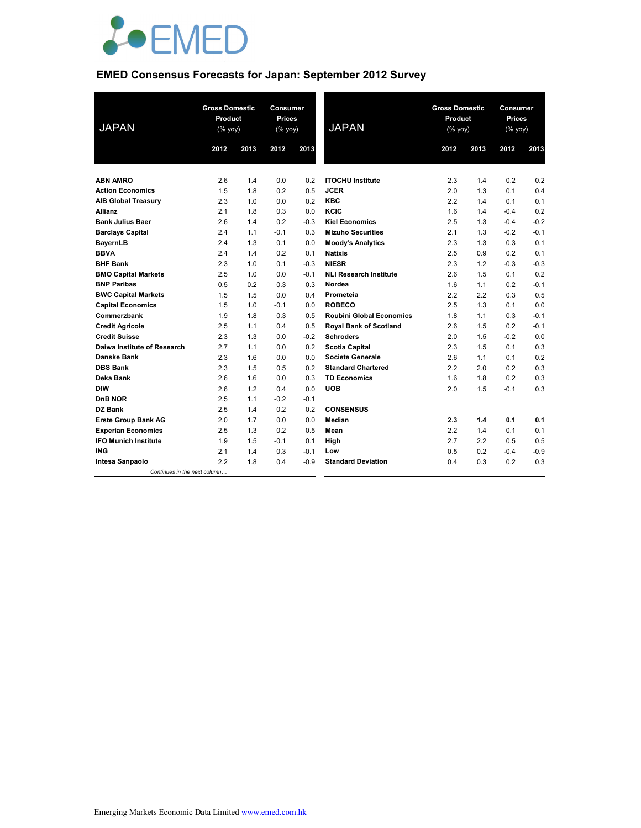

## **EMED Consensus Forecasts for Japan: September 2012 Survey**

| <b>JAPAN</b>                 | <b>Gross Domestic</b><br>Product<br>$(\sqrt[6]{6}$ yoy) |      | <b>Consumer</b><br><b>Prices</b><br>(% yoy) |        | <b>JAPAN</b>                    | <b>Gross Domestic</b><br>Product<br>$(% \mathsf{Y}^{\prime }\mathsf{Y}^{\prime }\mathsf{Y}^{\prime })$ |      | Consumer<br><b>Prices</b><br>(% yoy) |        |
|------------------------------|---------------------------------------------------------|------|---------------------------------------------|--------|---------------------------------|--------------------------------------------------------------------------------------------------------|------|--------------------------------------|--------|
|                              | 2012                                                    | 2013 | 2012                                        | 2013   |                                 | 2012                                                                                                   | 2013 | 2012                                 | 2013   |
|                              |                                                         |      |                                             |        |                                 |                                                                                                        |      |                                      |        |
| <b>ABN AMRO</b>              | 2.6                                                     | 1.4  | 0.0                                         | 0.2    | <b>ITOCHU Institute</b>         | 2.3                                                                                                    | 1.4  | 0.2                                  | 0.2    |
| <b>Action Economics</b>      | 1.5                                                     | 1.8  | 0.2                                         | 0.5    | <b>JCER</b>                     | 2.0                                                                                                    | 1.3  | 0.1                                  | 0.4    |
| <b>AIB Global Treasury</b>   | 2.3                                                     | 1.0  | 0.0                                         | 0.2    | <b>KBC</b>                      | 2.2                                                                                                    | 1.4  | 0.1                                  | 0.1    |
| <b>Allianz</b>               | 2.1                                                     | 1.8  | 0.3                                         | 0.0    | KCIC                            | 1.6                                                                                                    | 1.4  | $-0.4$                               | 0.2    |
| <b>Bank Julius Baer</b>      | 2.6                                                     | 1.4  | 0.2                                         | $-0.3$ | <b>Kiel Economics</b>           | 2.5                                                                                                    | 1.3  | $-0.4$                               | $-0.2$ |
| <b>Barclays Capital</b>      | 2.4                                                     | 1.1  | $-0.1$                                      | 0.3    | <b>Mizuho Securities</b>        | 2.1                                                                                                    | 1.3  | $-0.2$                               | $-0.1$ |
| <b>BayernLB</b>              | 2.4                                                     | 1.3  | 0.1                                         | 0.0    | <b>Moody's Analytics</b>        | 2.3                                                                                                    | 1.3  | 0.3                                  | 0.1    |
| <b>BBVA</b>                  | 2.4                                                     | 1.4  | 0.2                                         | 0.1    | <b>Natixis</b>                  | 2.5                                                                                                    | 0.9  | 0.2                                  | 0.1    |
| <b>BHF Bank</b>              | 2.3                                                     | 1.0  | 0.1                                         | $-0.3$ | <b>NIESR</b>                    | 2.3                                                                                                    | 1.2  | $-0.3$                               | $-0.3$ |
| <b>BMO Capital Markets</b>   | 2.5                                                     | 1.0  | 0.0                                         | $-0.1$ | <b>NLI Research Institute</b>   | 2.6                                                                                                    | 1.5  | 0.1                                  | 0.2    |
| <b>BNP Paribas</b>           | 0.5                                                     | 0.2  | 0.3                                         | 0.3    | Nordea                          | 1.6                                                                                                    | 1.1  | 0.2                                  | $-0.1$ |
| <b>BWC Capital Markets</b>   | 1.5                                                     | 1.5  | 0.0                                         | 0.4    | Prometeia                       | 2.2                                                                                                    | 2.2  | 0.3                                  | 0.5    |
| <b>Capital Economics</b>     | 1.5                                                     | 1.0  | $-0.1$                                      | 0.0    | <b>ROBECO</b>                   | 2.5                                                                                                    | 1.3  | 0.1                                  | 0.0    |
| Commerzbank                  | 1.9                                                     | 1.8  | 0.3                                         | 0.5    | <b>Roubini Global Economics</b> | 1.8                                                                                                    | 1.1  | 0.3                                  | $-0.1$ |
| <b>Credit Agricole</b>       | 2.5                                                     | 1.1  | 0.4                                         | 0.5    | <b>Royal Bank of Scotland</b>   | 2.6                                                                                                    | 1.5  | 0.2                                  | $-0.1$ |
| <b>Credit Suisse</b>         | 2.3                                                     | 1.3  | 0.0                                         | $-0.2$ | <b>Schroders</b>                | 2.0                                                                                                    | 1.5  | $-0.2$                               | 0.0    |
| Daiwa Institute of Research  | 2.7                                                     | 1.1  | 0.0                                         | 0.2    | <b>Scotia Capital</b>           | 2.3                                                                                                    | 1.5  | 0.1                                  | 0.3    |
| <b>Danske Bank</b>           | 2.3                                                     | 1.6  | 0.0                                         | 0.0    | Societe Generale                | 2.6                                                                                                    | 1.1  | 0.1                                  | 0.2    |
| <b>DBS Bank</b>              | 2.3                                                     | 1.5  | 0.5                                         | 0.2    | <b>Standard Chartered</b>       | 2.2                                                                                                    | 2.0  | 0.2                                  | 0.3    |
| Deka Bank                    | 2.6                                                     | 1.6  | 0.0                                         | 0.3    | <b>TD Economics</b>             | 1.6                                                                                                    | 1.8  | 0.2                                  | 0.3    |
| <b>DIW</b>                   | 2.6                                                     | 1.2  | 0.4                                         | 0.0    | <b>UOB</b>                      | 2.0                                                                                                    | 1.5  | $-0.1$                               | 0.3    |
| <b>DnB NOR</b>               | 2.5                                                     | 1.1  | $-0.2$                                      | $-0.1$ |                                 |                                                                                                        |      |                                      |        |
| DZ Bank                      | 2.5                                                     | 1.4  | 0.2                                         | 0.2    | <b>CONSENSUS</b>                |                                                                                                        |      |                                      |        |
| <b>Erste Group Bank AG</b>   | 2.0                                                     | 1.7  | 0.0                                         | 0.0    | <b>Median</b>                   | 2.3                                                                                                    | 1.4  | 0.1                                  | 0.1    |
| <b>Experian Economics</b>    | 2.5                                                     | 1.3  | 0.2                                         | 0.5    | Mean                            | 2.2                                                                                                    | 1.4  | 0.1                                  | 0.1    |
| <b>IFO Munich Institute</b>  | 1.9                                                     | 1.5  | $-0.1$                                      | 0.1    | High                            | 2.7                                                                                                    | 2.2  | 0.5                                  | 0.5    |
| ING                          | 2.1                                                     | 1.4  | 0.3                                         | $-0.1$ | Low                             | 0.5                                                                                                    | 0.2  | $-0.4$                               | $-0.9$ |
| <b>Intesa Sanpaolo</b>       | 2.2                                                     | 1.8  | 0.4                                         | $-0.9$ | <b>Standard Deviation</b>       | 0.4                                                                                                    | 0.3  | 0.2                                  | 0.3    |
| Continues in the next column |                                                         |      |                                             |        |                                 |                                                                                                        |      |                                      |        |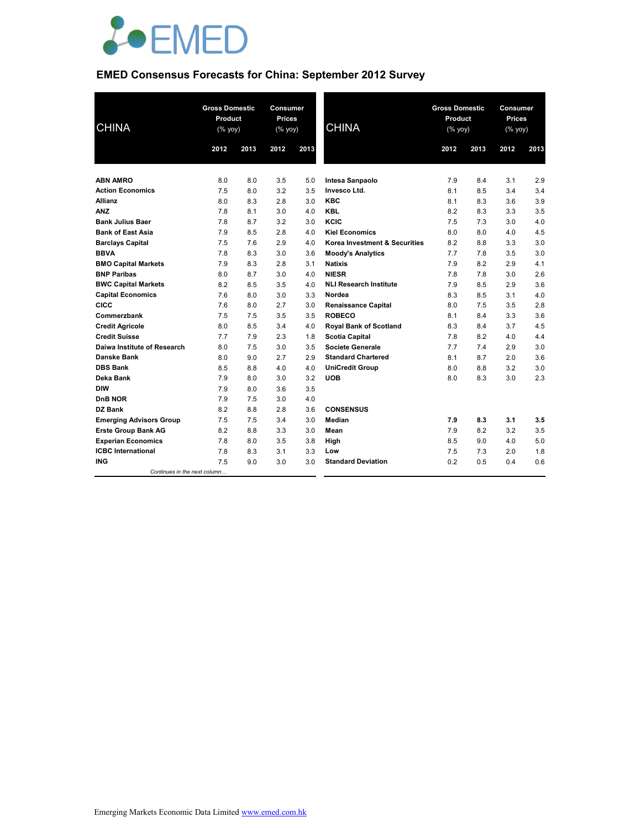

# **EMED Consensus Forecasts for China: September 2012 Survey**

| <b>CHINA</b>                   |      | <b>Gross Domestic</b><br>Product<br>(% yoy) |      | Consumer<br>Prices<br>(% yoy) | <b>CHINA</b>                  | <b>Gross Domestic</b><br>Product<br>(% yoy) |      |      | Consumer<br><b>Prices</b><br>(% yoy) |  |
|--------------------------------|------|---------------------------------------------|------|-------------------------------|-------------------------------|---------------------------------------------|------|------|--------------------------------------|--|
|                                | 2012 | 2013                                        | 2012 | 2013                          |                               | 2012                                        | 2013 | 2012 | 2013                                 |  |
| <b>ABN AMRO</b>                | 8.0  | 8.0                                         | 3.5  | 5.0                           | Intesa Sanpaolo               | 7.9                                         | 8.4  | 3.1  | 2.9                                  |  |
| <b>Action Economics</b>        | 7.5  | 8.0                                         | 3.2  | 3.5                           | Invesco Ltd.                  | 8.1                                         | 8.5  | 3.4  | 3.4                                  |  |
| <b>Allianz</b>                 | 8.0  | 8.3                                         | 2.8  | 3.0                           | <b>KBC</b>                    | 8.1                                         | 8.3  | 3.6  | 3.9                                  |  |
| <b>ANZ</b>                     | 7.8  | 8.1                                         | 3.0  | 4.0                           | <b>KBL</b>                    | 8.2                                         | 8.3  | 3.3  | 3.5                                  |  |
| <b>Bank Julius Baer</b>        | 7.8  | 8.7                                         | 3.2  | 3.0                           | KCIC                          | 7.5                                         | 7.3  | 3.0  | 4.0                                  |  |
| <b>Bank of East Asia</b>       | 7.9  | 8.5                                         | 2.8  | 4.0                           | <b>Kiel Economics</b>         | 8.0                                         | 8.0  | 4.0  | 4.5                                  |  |
| <b>Barclays Capital</b>        | 7.5  | 7.6                                         | 2.9  | 4.0                           | Korea Investment & Securities | 8.2                                         | 8.8  | 3.3  | 3.0                                  |  |
| <b>BBVA</b>                    | 7.8  | 8.3                                         | 3.0  | 3.6                           | <b>Moody's Analytics</b>      | 7.7                                         | 7.8  | 3.5  | 3.0                                  |  |
| <b>BMO Capital Markets</b>     | 7.9  | 8.3                                         | 2.8  | 3.1                           | <b>Natixis</b>                | 7.9                                         | 8.2  | 2.9  | 4.1                                  |  |
| <b>BNP Paribas</b>             | 8.0  | 8.7                                         | 3.0  | 4.0                           | <b>NIESR</b>                  | 7.8                                         | 7.8  | 3.0  | 2.6                                  |  |
| <b>BWC Capital Markets</b>     | 8.2  | 8.5                                         | 3.5  | 4.0                           | <b>NLI Research Institute</b> | 7.9                                         | 8.5  | 2.9  | 3.6                                  |  |
| <b>Capital Economics</b>       | 7.6  | 8.0                                         | 3.0  | 3.3                           | Nordea                        | 8.3                                         | 8.5  | 3.1  | 4.0                                  |  |
| <b>CICC</b>                    | 7.6  | 8.0                                         | 2.7  | 3.0                           | <b>Renaissance Capital</b>    | 8.0                                         | 7.5  | 3.5  | 2.8                                  |  |
| Commerzbank                    | 7.5  | 7.5                                         | 3.5  | 3.5                           | <b>ROBECO</b>                 | 8.1                                         | 8.4  | 3.3  | 3.6                                  |  |
| <b>Credit Agricole</b>         | 8.0  | 8.5                                         | 3.4  | 4.0                           | Royal Bank of Scotland        | 8.3                                         | 8.4  | 3.7  | 4.5                                  |  |
| <b>Credit Suisse</b>           | 7.7  | 7.9                                         | 2.3  | 1.8                           | <b>Scotia Capital</b>         | 7.8                                         | 8.2  | 4.0  | 4.4                                  |  |
| Daiwa Institute of Research    | 8.0  | 7.5                                         | 3.0  | 3.5                           | <b>Societe Generale</b>       | 7.7                                         | 7.4  | 2.9  | 3.0                                  |  |
| Danske Bank                    | 8.0  | 9.0                                         | 2.7  | 2.9                           | <b>Standard Chartered</b>     | 8.1                                         | 8.7  | 2.0  | 3.6                                  |  |
| <b>DBS Bank</b>                | 8.5  | 8.8                                         | 4.0  | 4.0                           | <b>UniCredit Group</b>        | 8.0                                         | 8.8  | 3.2  | 3.0                                  |  |
| Deka Bank                      | 7.9  | 8.0                                         | 3.0  | 3.2                           | <b>UOB</b>                    | 8.0                                         | 8.3  | 3.0  | 2.3                                  |  |
| <b>DIW</b>                     | 7.9  | 8.0                                         | 3.6  | 3.5                           |                               |                                             |      |      |                                      |  |
| DnB NOR                        | 7.9  | 7.5                                         | 3.0  | 4.0                           |                               |                                             |      |      |                                      |  |
| DZ Bank                        | 8.2  | 8.8                                         | 2.8  | 3.6                           | <b>CONSENSUS</b>              |                                             |      |      |                                      |  |
| <b>Emerging Advisors Group</b> | 7.5  | 7.5                                         | 3.4  | 3.0                           | Median                        | 7.9                                         | 8.3  | 3.1  | 3.5                                  |  |
| <b>Erste Group Bank AG</b>     | 8.2  | 8.8                                         | 3.3  | 3.0                           | Mean                          | 7.9                                         | 8.2  | 3.2  | 3.5                                  |  |
| <b>Experian Economics</b>      | 7.8  | 8.0                                         | 3.5  | 3.8                           | High                          | 8.5                                         | 9.0  | 4.0  | 5.0                                  |  |
| <b>ICBC</b> International      | 7.8  | 8.3                                         | 3.1  | 3.3                           | Low                           | 7.5                                         | 7.3  | 2.0  | 1.8                                  |  |
| <b>ING</b>                     | 7.5  | 9.0                                         | 3.0  | 3.0                           | <b>Standard Deviation</b>     | 0.2                                         | 0.5  | 0.4  | 0.6                                  |  |
| Continues in the next column   |      |                                             |      |                               |                               |                                             |      |      |                                      |  |